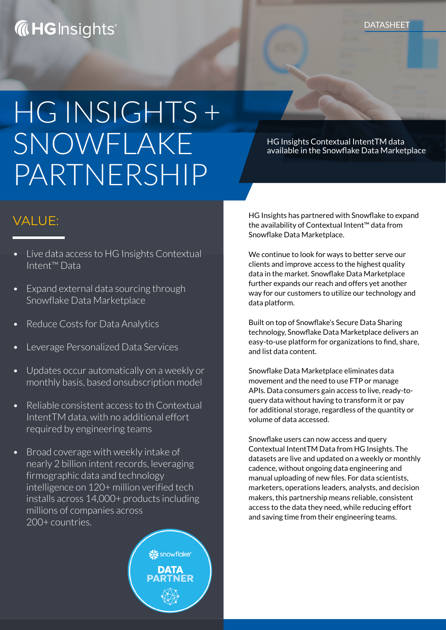## **WHICH INSTALLER THE SET OF THE SET OF THE SET OF THE SET OF THE SET OF THE SET OF THE SET OF THE SET OF THE SET OF THE SET OF THE SET OF THE SET OF THE SET OF THE SET OF THE SET OF THE SET OF THE SET OF THE SET OF THE SET**

# HG INSIGHTS + SNOWFLAKE PARTNERSHIP

- Live data access to HG Insights Contextual Intent™ Data
- Expand external data sourcing through Snowflake Data Marketplace
- Reduce Costs for Data Analytics
- Leverage Personalized Data Services
- Updates occur automatically on a weekly or monthly basis, based onsubscription model
- Reliable consistent access to th Contextual IntentTM data, with no additional effort required by engineering teams
- Broad coverage with weekly intake of nearly 2 billion intent records, leveraging firmographic data and technology intelligence on 120+ million verified tech installs across 14,000+ products including millions of companies across 200+ countries.



HG Insights Contextual IntentTM data available in the Snowflake Data Marketplace

VALUE: HG Insights has partnered with Snowflake to expand the availability of Contextual Intent™ data from Snowflake Data Marketplace.

> We continue to look for ways to better serve our clients and improve access to the highest quality data in the market. Snowflake Data Marketplace further expands our reach and offers yet another way for our customers to utilize our technology and data platform.

Built on top of Snowflake's Secure Data Sharing technology, Snowflake Data Marketplace delivers an easy-to-use platform for organizations to find, share, and list data content.

Snowflake Data Marketplace eliminates data movement and the need to use FTP or manage APIs. Data consumers gain access to live, ready-toquery data without having to transform it or pay for additional storage, regardless of the quantity or volume of data accessed.

Snowflake users can now access and query Contextual IntentTM Data from HG Insights. The datasets are live and updated on a weekly or monthly cadence, without ongoing data engineering and manual uploading of new files. For data scientists, marketers, operations leaders, analysts, and decision makers, this partnership means reliable, consistent access to the data they need, while reducing effort and saving time from their engineering teams.